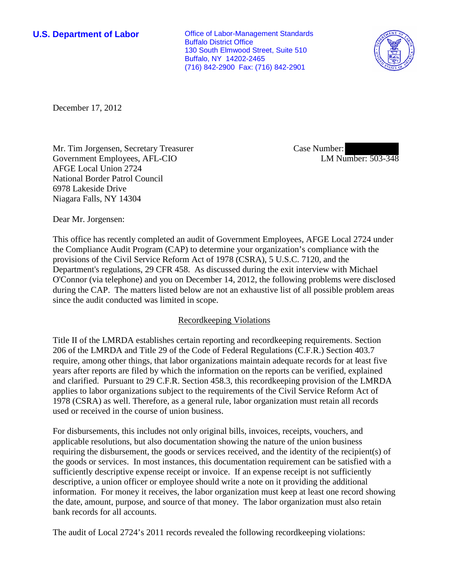**U.S. Department of Labor Office of Labor-Management Standards** Buffalo District Office 130 South Elmwood Street, Suite 510 Buffalo, NY 14202-2465 (716) 842-2900 Fax: (716) 842-2901



December 17, 2012

Mr. Tim Jorgensen, Secretary Treasurer Government Employees, AFL-CIO AFGE Local Union 2724 National Border Patrol Council 6978 Lakeside Drive Niagara Falls, NY 14304

Case Number: LM Number: 503-348

Dear Mr. Jorgensen:

This office has recently completed an audit of Government Employees, AFGE Local 2724 under the Compliance Audit Program (CAP) to determine your organization's compliance with the provisions of the Civil Service Reform Act of 1978 (CSRA), 5 U.S.C. 7120, and the Department's regulations, 29 CFR 458. As discussed during the exit interview with Michael O'Connor (via telephone) and you on December 14, 2012, the following problems were disclosed during the CAP. The matters listed below are not an exhaustive list of all possible problem areas since the audit conducted was limited in scope.

## Recordkeeping Violations

Title II of the LMRDA establishes certain reporting and recordkeeping requirements. Section 206 of the LMRDA and Title 29 of the Code of Federal Regulations (C.F.R.) Section 403.7 require, among other things, that labor organizations maintain adequate records for at least five years after reports are filed by which the information on the reports can be verified, explained and clarified. Pursuant to 29 C.F.R. Section 458.3, this recordkeeping provision of the LMRDA applies to labor organizations subject to the requirements of the Civil Service Reform Act of 1978 (CSRA) as well. Therefore, as a general rule, labor organization must retain all records used or received in the course of union business.

For disbursements, this includes not only original bills, invoices, receipts, vouchers, and applicable resolutions, but also documentation showing the nature of the union business requiring the disbursement, the goods or services received, and the identity of the recipient(s) of the goods or services. In most instances, this documentation requirement can be satisfied with a sufficiently descriptive expense receipt or invoice. If an expense receipt is not sufficiently descriptive, a union officer or employee should write a note on it providing the additional information. For money it receives, the labor organization must keep at least one record showing the date, amount, purpose, and source of that money. The labor organization must also retain bank records for all accounts.

The audit of Local 2724's 2011 records revealed the following recordkeeping violations: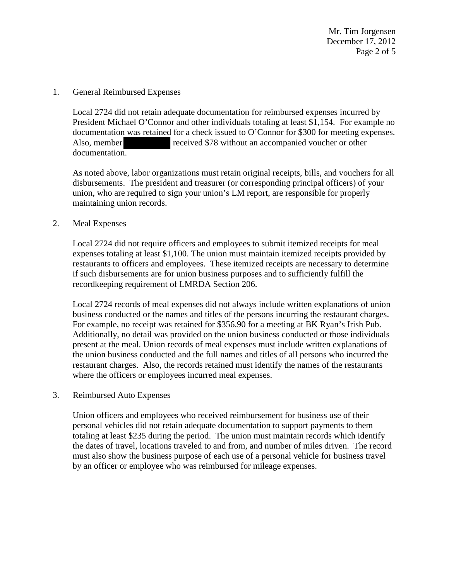Mr. Tim Jorgensen December 17, 2012 Page 2 of 5

### 1. General Reimbursed Expenses

Local 2724 did not retain adequate documentation for reimbursed expenses incurred by President Michael O'Connor and other individuals totaling at least \$1,154. For example no documentation was retained for a check issued to O'Connor for \$300 for meeting expenses. Also, member received \$78 without an accompanied voucher or other documentation.

As noted above, labor organizations must retain original receipts, bills, and vouchers for all disbursements. The president and treasurer (or corresponding principal officers) of your union, who are required to sign your union's LM report, are responsible for properly maintaining union records.

## 2. Meal Expenses

Local 2724 did not require officers and employees to submit itemized receipts for meal expenses totaling at least \$1,100. The union must maintain itemized receipts provided by restaurants to officers and employees. These itemized receipts are necessary to determine if such disbursements are for union business purposes and to sufficiently fulfill the recordkeeping requirement of LMRDA Section 206.

Local 2724 records of meal expenses did not always include written explanations of union business conducted or the names and titles of the persons incurring the restaurant charges. For example, no receipt was retained for \$356.90 for a meeting at BK Ryan's Irish Pub. Additionally, no detail was provided on the union business conducted or those individuals present at the meal. Union records of meal expenses must include written explanations of the union business conducted and the full names and titles of all persons who incurred the restaurant charges. Also, the records retained must identify the names of the restaurants where the officers or employees incurred meal expenses.

## 3. Reimbursed Auto Expenses

Union officers and employees who received reimbursement for business use of their personal vehicles did not retain adequate documentation to support payments to them totaling at least \$235 during the period. The union must maintain records which identify the dates of travel, locations traveled to and from, and number of miles driven. The record must also show the business purpose of each use of a personal vehicle for business travel by an officer or employee who was reimbursed for mileage expenses.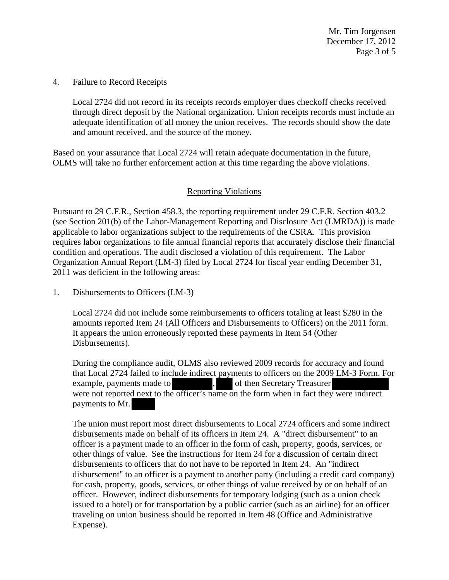4. Failure to Record Receipts

Local 2724 did not record in its receipts records employer dues checkoff checks received through direct deposit by the National organization. Union receipts records must include an adequate identification of all money the union receives. The records should show the date and amount received, and the source of the money.

Based on your assurance that Local 2724 will retain adequate documentation in the future, OLMS will take no further enforcement action at this time regarding the above violations.

# Reporting Violations

Pursuant to 29 C.F.R., Section 458.3, the reporting requirement under 29 C.F.R. Section 403.2 (see Section 201(b) of the Labor-Management Reporting and Disclosure Act (LMRDA)) is made applicable to labor organizations subject to the requirements of the CSRA. This provision requires labor organizations to file annual financial reports that accurately disclose their financial condition and operations. The audit disclosed a violation of this requirement. The Labor Organization Annual Report (LM-3) filed by Local 2724 for fiscal year ending December 31, 2011 was deficient in the following areas:

1. Disbursements to Officers (LM-3)

Local 2724 did not include some reimbursements to officers totaling at least \$280 in the amounts reported Item 24 (All Officers and Disbursements to Officers) on the 2011 form. It appears the union erroneously reported these payments in Item 54 (Other Disbursements).

During the compliance audit, OLMS also reviewed 2009 records for accuracy and found that Local 2724 failed to include indirect payments to officers on the 2009 LM-3 Form. For example, payments made to , of then Secretary Treasurer were not reported next to the officer's name on the form when in fact they were indirect payments to Mr.

The union must report most direct disbursements to Local 2724 officers and some indirect disbursements made on behalf of its officers in Item 24. A "direct disbursement" to an officer is a payment made to an officer in the form of cash, property, goods, services, or other things of value. See the instructions for Item 24 for a discussion of certain direct disbursements to officers that do not have to be reported in Item 24. An "indirect disbursement" to an officer is a payment to another party (including a credit card company) for cash, property, goods, services, or other things of value received by or on behalf of an officer. However, indirect disbursements for temporary lodging (such as a union check issued to a hotel) or for transportation by a public carrier (such as an airline) for an officer traveling on union business should be reported in Item 48 (Office and Administrative Expense).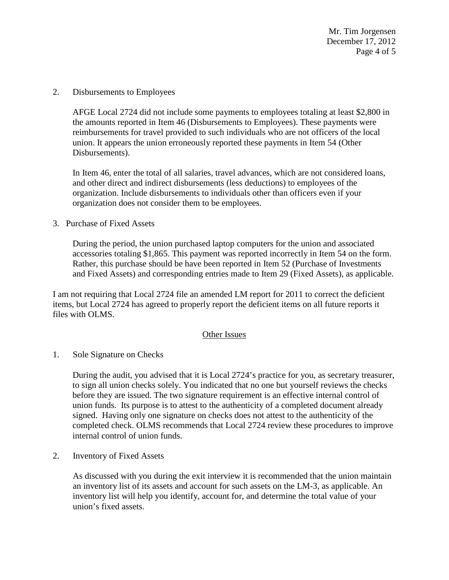Mr. Tim Jorgensen December 17, 2012 Page 4 of 5

2. Disbursements to Employees

AFGE Local 2724 did not include some payments to employees totaling at least \$2,800 in the amounts reported in Item 46 (Disbursements to Employees). These payments were reimbursements for travel provided to such individuals who are not officers of the local union. It appears the union erroneously reported these payments in Item 54 (Other Disbursements).

In Item 46, enter the total of all salaries, travel advances, which are not considered loans, and other direct and indirect disbursements (less deductions) to employees of the organization. Include disbursements to individuals other than officers even if your organization does not consider them to be employees.

3. Purchase of Fixed Assets

During the period, the union purchased laptop computers for the union and associated accessories totaling \$1,865. This payment was reported incorrectly in Item 54 on the form. Rather, this purchase should be have been reported in Item 52 (Purchase of Investments and Fixed Assets) and corresponding entries made to Item 29 (Fixed Assets), as applicable.

I am not requiring that Local 2724 file an amended LM report for 2011 to correct the deficient items, but Local 2724 has agreed to properly report the deficient items on all future reports it files with OLMS.

## Other Issues

1. Sole Signature on Checks

During the audit, you advised that it is Local 2724's practice for you, as secretary treasurer, to sign all union checks solely. You indicated that no one but yourself reviews the checks before they are issued. The two signature requirement is an effective internal control of union funds. Its purpose is to attest to the authenticity of a completed document already signed. Having only one signature on checks does not attest to the authenticity of the completed check. OLMS recommends that Local 2724 review these procedures to improve internal control of union funds.

2. Inventory of Fixed Assets

As discussed with you during the exit interview it is recommended that the union maintain an inventory list of its assets and account for such assets on the LM-3, as applicable. An inventory list will help you identify, account for, and determine the total value of your union's fixed assets.